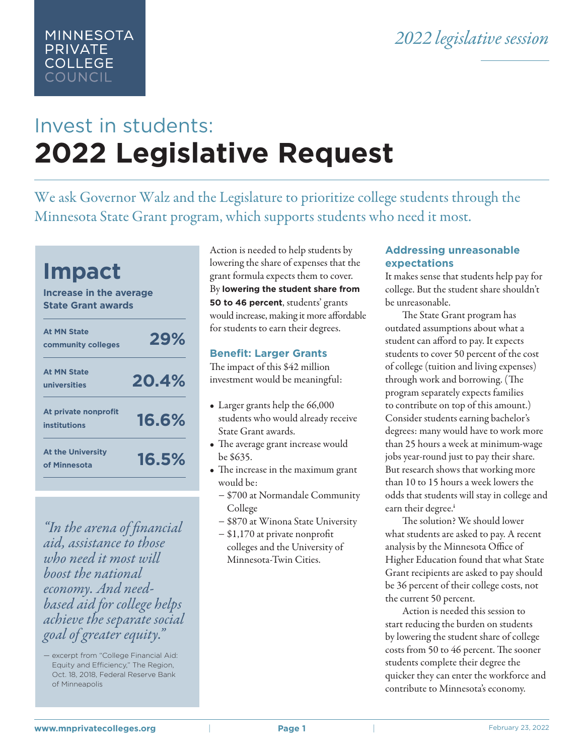# Invest in students: **2022 Legislative Request**

We ask Governor Walz and the Legislature to prioritize college students through the Minnesota State Grant program, which supports students who need it most.



MINNESOTA **PRIVATE COLLEGE COUNCIL** 

*"In the arena of financial aid, assistance to those who need it most will boost the national economy. And needbased aid for college helps achieve the separate social goal of greater equity."*

Action is needed to help students by lowering the share of expenses that the grant formula expects them to cover. By **lowering the student share from 50 to 46 percent**, students' grants would increase, making it more affordable for students to earn their degrees.

### **Benefit: Larger Grants**

The impact of this \$42 million investment would be meaningful:

- Larger grants help the 66,000 students who would already receive State Grant awards.
- The average grant increase would be \$635.
- The increase in the maximum grant would be:
	- − \$700 at Normandale Community College
	- − \$870 at Winona State University
	- − \$1,170 at private nonprofit colleges and the University of Minnesota-Twin Cities.

## **Addressing unreasonable expectations**

It makes sense that students help pay for college. But the student share shouldn't be unreasonable.

 The State Grant program has outdated assumptions about what a student can afford to pay. It expects students to cover 50 percent of the cost of college (tuition and living expenses) through work and borrowing. (The program separately expects families to contribute on top of this amount.) Consider students earning bachelor's degrees: many would have to work more than 25 hours a week at minimum-wage jobs year-round just to pay their share. But research shows that working more than 10 to 15 hours a week lowers the odds that students will stay in college and earn their degree.<sup>i</sup>

 The solution? We should lower what students are asked to pay. A recent analysis by the Minnesota Office of Higher Education found that what State Grant recipients are asked to pay should be 36 percent of their college costs, not the current 50 percent.

 Action is needed this session to start reducing the burden on students by lowering the student share of college costs from 50 to 46 percent. The sooner students complete their degree the quicker they can enter the workforce and contribute to Minnesota's economy.

<sup>—</sup> excerpt from "College Financial Aid: Equity and Efficiency," The Region, Oct. 18, 2018, Federal Reserve Bank of Minneapolis